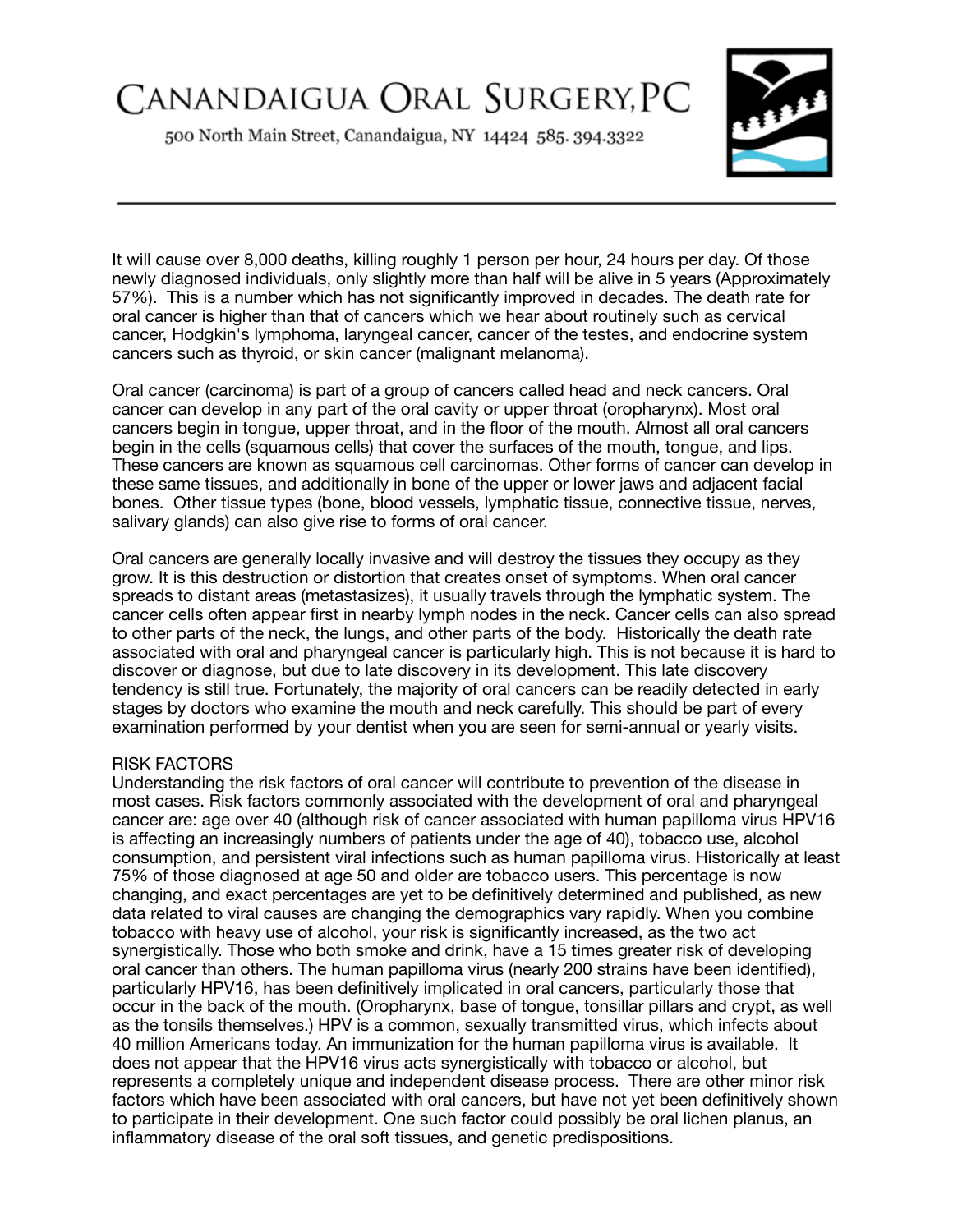# CANANDAIGUA ORAL SURGERY, PC

500 North Main Street, Canandaigua, NY 14424 585. 394.3322



It will cause over 8,000 deaths, killing roughly 1 person per hour, 24 hours per day. Of those newly diagnosed individuals, only slightly more than half will be alive in 5 years (Approximately 57%). This is a number which has not significantly improved in decades. The death rate for oral cancer is higher than that of cancers which we hear about routinely such as cervical cancer, Hodgkin's lymphoma, laryngeal cancer, cancer of the testes, and endocrine system cancers such as thyroid, or skin cancer (malignant melanoma).

Oral cancer (carcinoma) is part of a group of cancers called head and neck cancers. Oral cancer can develop in any part of the oral cavity or upper throat (oropharynx). Most oral cancers begin in tongue, upper throat, and in the floor of the mouth. Almost all oral cancers begin in the cells (squamous cells) that cover the surfaces of the mouth, tongue, and lips. These cancers are known as squamous cell carcinomas. Other forms of cancer can develop in these same tissues, and additionally in bone of the upper or lower jaws and adjacent facial bones. Other tissue types (bone, blood vessels, lymphatic tissue, connective tissue, nerves, salivary glands) can also give rise to forms of oral cancer.

Oral cancers are generally locally invasive and will destroy the tissues they occupy as they grow. It is this destruction or distortion that creates onset of symptoms. When oral cancer spreads to distant areas (metastasizes), it usually travels through the lymphatic system. The cancer cells often appear first in nearby lymph nodes in the neck. Cancer cells can also spread to other parts of the neck, the lungs, and other parts of the body. Historically the death rate associated with oral and pharyngeal cancer is particularly high. This is not because it is hard to discover or diagnose, but due to late discovery in its development. This late discovery tendency is still true. Fortunately, the majority of oral cancers can be readily detected in early stages by doctors who examine the mouth and neck carefully. This should be part of every examination performed by your dentist when you are seen for semi-annual or yearly visits.

#### RISK FACTORS

Understanding the risk factors of oral cancer will contribute to prevention of the disease in most cases. Risk factors commonly associated with the development of oral and pharyngeal cancer are: age over 40 (although risk of cancer associated with human papilloma virus HPV16 is affecting an increasingly numbers of patients under the age of 40), tobacco use, alcohol consumption, and persistent viral infections such as human papilloma virus. Historically at least 75% of those diagnosed at age 50 and older are tobacco users. This percentage is now changing, and exact percentages are yet to be definitively determined and published, as new data related to viral causes are changing the demographics vary rapidly. When you combine tobacco with heavy use of alcohol, your risk is significantly increased, as the two act synergistically. Those who both smoke and drink, have a 15 times greater risk of developing oral cancer than others. The human papilloma virus (nearly 200 strains have been identified), particularly HPV16, has been definitively implicated in oral cancers, particularly those that occur in the back of the mouth. (Oropharynx, base of tongue, tonsillar pillars and crypt, as well as the tonsils themselves.) HPV is a common, sexually transmitted virus, which infects about 40 million Americans today. An immunization for the human papilloma virus is available. It does not appear that the HPV16 virus acts synergistically with tobacco or alcohol, but represents a completely unique and independent disease process. There are other minor risk factors which have been associated with oral cancers, but have not yet been definitively shown to participate in their development. One such factor could possibly be oral lichen planus, an inflammatory disease of the oral soft tissues, and genetic predispositions.